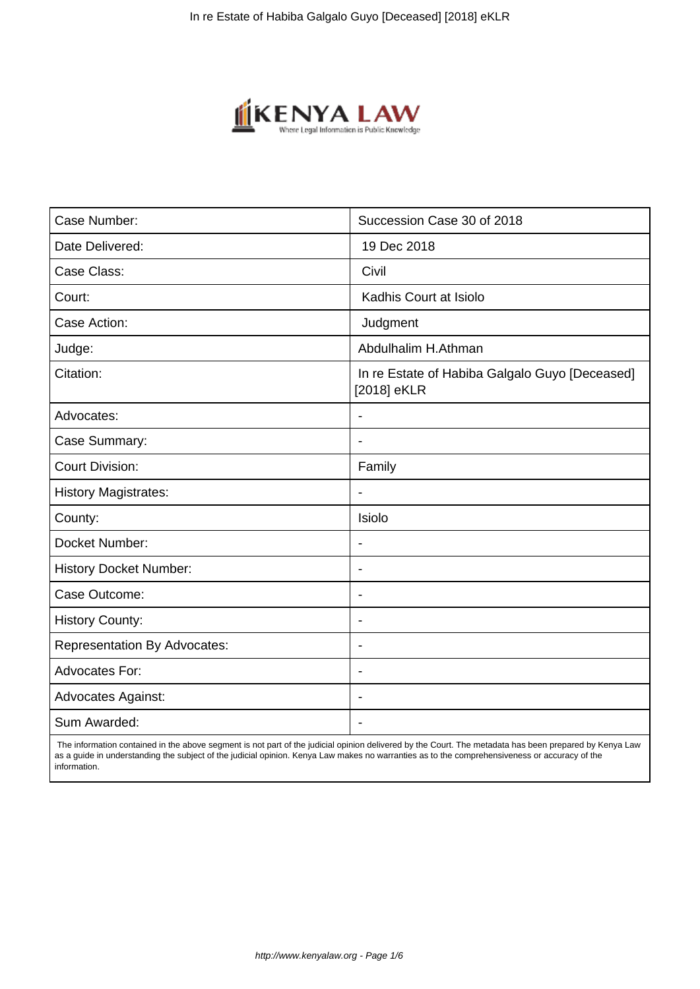

| Case Number:                        | Succession Case 30 of 2018                                    |
|-------------------------------------|---------------------------------------------------------------|
| Date Delivered:                     | 19 Dec 2018                                                   |
| Case Class:                         | Civil                                                         |
| Court:                              | Kadhis Court at Isiolo                                        |
| Case Action:                        | Judgment                                                      |
| Judge:                              | Abdulhalim H.Athman                                           |
| Citation:                           | In re Estate of Habiba Galgalo Guyo [Deceased]<br>[2018] eKLR |
| Advocates:                          |                                                               |
| Case Summary:                       | $\blacksquare$                                                |
| <b>Court Division:</b>              | Family                                                        |
| <b>History Magistrates:</b>         | $\blacksquare$                                                |
| County:                             | Isiolo                                                        |
| Docket Number:                      |                                                               |
| <b>History Docket Number:</b>       | $\blacksquare$                                                |
| Case Outcome:                       | $\overline{\phantom{a}}$                                      |
| <b>History County:</b>              | $\blacksquare$                                                |
| <b>Representation By Advocates:</b> | $\blacksquare$                                                |
| Advocates For:                      | $\overline{\phantom{a}}$                                      |
| <b>Advocates Against:</b>           | $\blacksquare$                                                |
| Sum Awarded:                        |                                                               |

 The information contained in the above segment is not part of the judicial opinion delivered by the Court. The metadata has been prepared by Kenya Law as a guide in understanding the subject of the judicial opinion. Kenya Law makes no warranties as to the comprehensiveness or accuracy of the information.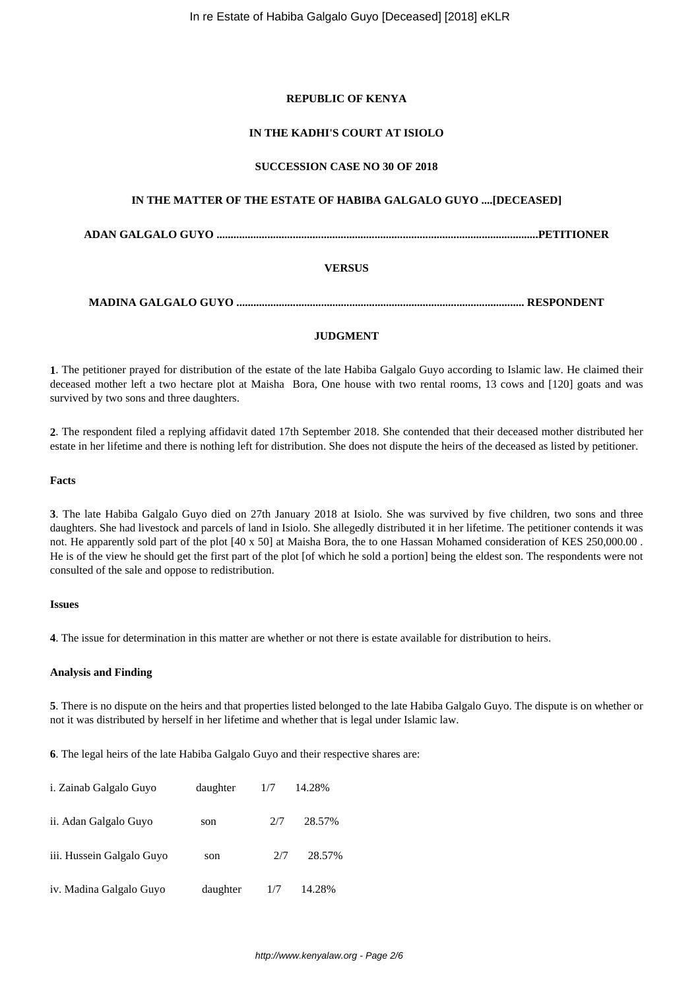## **REPUBLIC OF KENYA**

## **IN THE KADHI'S COURT AT ISIOLO**

## **SUCCESSION CASE NO 30 OF 2018**

# **IN THE MATTER OF THE ESTATE OF HABIBA GALGALO GUYO ....[DECEASED]**

**ADAN GALGALO GUYO ..................................................................................................................PETITIONER**

## **VERSUS**

**MADINA GALGALO GUYO ...................................................................................................... RESPONDENT**

## **JUDGMENT**

**1**. The petitioner prayed for distribution of the estate of the late Habiba Galgalo Guyo according to Islamic law. He claimed their deceased mother left a two hectare plot at Maisha Bora, One house with two rental rooms, 13 cows and [120] goats and was survived by two sons and three daughters.

**2**. The respondent filed a replying affidavit dated 17th September 2018. She contended that their deceased mother distributed her estate in her lifetime and there is nothing left for distribution. She does not dispute the heirs of the deceased as listed by petitioner.

#### **Facts**

**3**. The late Habiba Galgalo Guyo died on 27th January 2018 at Isiolo. She was survived by five children, two sons and three daughters. She had livestock and parcels of land in Isiolo. She allegedly distributed it in her lifetime. The petitioner contends it was not. He apparently sold part of the plot [40 x 50] at Maisha Bora, the to one Hassan Mohamed consideration of KES 250,000.00 . He is of the view he should get the first part of the plot [of which he sold a portion] being the eldest son. The respondents were not consulted of the sale and oppose to redistribution.

#### **Issues**

**4**. The issue for determination in this matter are whether or not there is estate available for distribution to heirs.

#### **Analysis and Finding**

**5**. There is no dispute on the heirs and that properties listed belonged to the late Habiba Galgalo Guyo. The dispute is on whether or not it was distributed by herself in her lifetime and whether that is legal under Islamic law.

**6**. The legal heirs of the late Habiba Galgalo Guyo and their respective shares are:

| i. Zainab Galgalo Guyo    | daughter | 1/7 | 14.28% |
|---------------------------|----------|-----|--------|
| ii. Adan Galgalo Guyo     | son      | 2/7 | 28.57% |
| iii. Hussein Galgalo Guyo | son      | 2/7 | 28.57% |
| iv. Madina Galgalo Guyo   | daughter | 1/7 | 14.28% |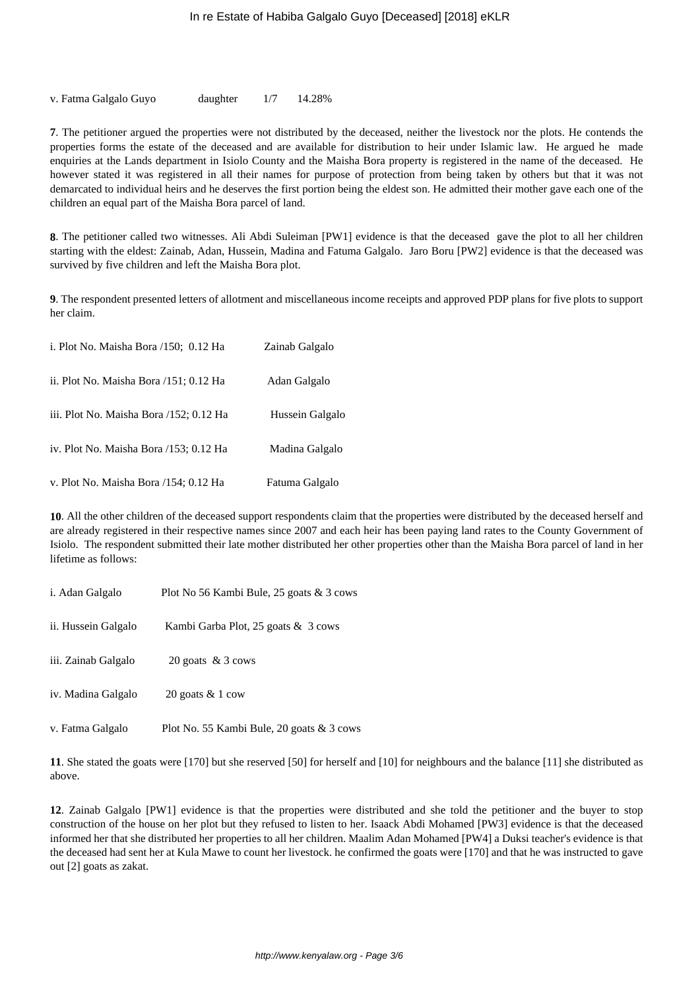v. Fatma Galgalo Guyo daughter 1/7 14.28%

**7**. The petitioner argued the properties were not distributed by the deceased, neither the livestock nor the plots. He contends the properties forms the estate of the deceased and are available for distribution to heir under Islamic law. He argued he made enquiries at the Lands department in Isiolo County and the Maisha Bora property is registered in the name of the deceased. He however stated it was registered in all their names for purpose of protection from being taken by others but that it was not demarcated to individual heirs and he deserves the first portion being the eldest son. He admitted their mother gave each one of the children an equal part of the Maisha Bora parcel of land.

**8**. The petitioner called two witnesses. Ali Abdi Suleiman [PW1] evidence is that the deceased gave the plot to all her children starting with the eldest: Zainab, Adan, Hussein, Madina and Fatuma Galgalo. Jaro Boru [PW2] evidence is that the deceased was survived by five children and left the Maisha Bora plot.

**9**. The respondent presented letters of allotment and miscellaneous income receipts and approved PDP plans for five plots to support her claim.

| i. Plot No. Maisha Bora /150; 0.12 Ha   | Zainab Galgalo  |
|-----------------------------------------|-----------------|
| ii. Plot No. Maisha Bora /151; 0.12 Ha  | Adan Galgalo    |
| iii. Plot No. Maisha Bora /152; 0.12 Ha | Hussein Galgalo |
| iv. Plot No. Maisha Bora /153; 0.12 Ha  | Madina Galgalo  |
| v. Plot No. Maisha Bora /154; 0.12 Ha   | Fatuma Galgalo  |

**10**. All the other children of the deceased support respondents claim that the properties were distributed by the deceased herself and are already registered in their respective names since 2007 and each heir has been paying land rates to the County Government of Isiolo. The respondent submitted their late mother distributed her other properties other than the Maisha Bora parcel of land in her lifetime as follows:

| i. Adan Galgalo     | Plot No 56 Kambi Bule, 25 goats & 3 cows  |
|---------------------|-------------------------------------------|
| ii. Hussein Galgalo | Kambi Garba Plot, 25 goats & 3 cows       |
| iii. Zainab Galgalo | 20 goats $& 3$ cows                       |
| iv. Madina Galgalo  | 20 goats $& 1 \text{ cow}$                |
| v. Fatma Galgalo    | Plot No. 55 Kambi Bule, 20 goats & 3 cows |

**11**. She stated the goats were [170] but she reserved [50] for herself and [10] for neighbours and the balance [11] she distributed as above.

**12**. Zainab Galgalo [PW1] evidence is that the properties were distributed and she told the petitioner and the buyer to stop construction of the house on her plot but they refused to listen to her. Isaack Abdi Mohamed [PW3] evidence is that the deceased informed her that she distributed her properties to all her children. Maalim Adan Mohamed [PW4] a Duksi teacher's evidence is that the deceased had sent her at Kula Mawe to count her livestock. he confirmed the goats were [170] and that he was instructed to gave out [2] goats as zakat.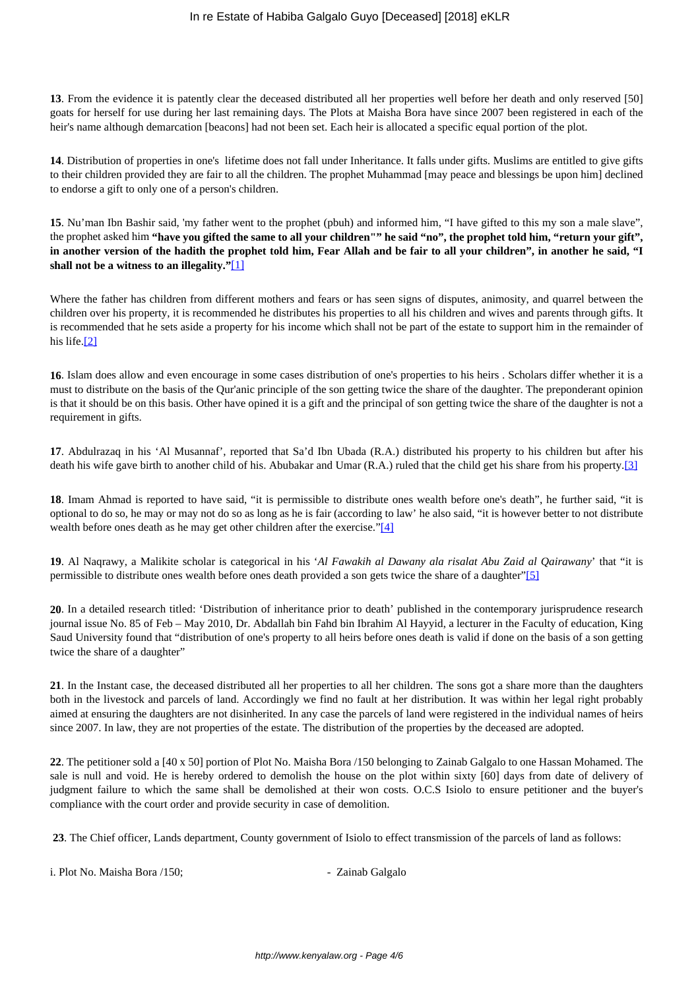**13**. From the evidence it is patently clear the deceased distributed all her properties well before her death and only reserved [50] goats for herself for use during her last remaining days. The Plots at Maisha Bora have since 2007 been registered in each of the heir's name although demarcation [beacons] had not been set. Each heir is allocated a specific equal portion of the plot.

**14**. Distribution of properties in one's lifetime does not fall under Inheritance. It falls under gifts. Muslims are entitled to give gifts to their children provided they are fair to all the children. The prophet Muhammad [may peace and blessings be upon him] declined to endorse a gift to only one of a person's children.

**15**. Nu'man Ibn Bashir said, 'my father went to the prophet (pbuh) and informed him, "I have gifted to this my son a male slave", the prophet asked him **"have you gifted the same to all your children"" he said "no", the prophet told him, "return your gift", in another version of the hadith the prophet told him, Fear Allah and be fair to all your children", in another he said, "I shall not be a witness to an illegality."**[1]

Where the father has children from different mothers and fears or has seen signs of disputes, animosity, and quarrel between the children over his property, it is recommended he distributes his properties to all his children and wives and parents through gifts. It is recommended that he sets aside a property for his income which shall not be part of the estate to support him in the remainder of his life.[2]

**16**. Islam does allow and even encourage in some cases distribution of one's properties to his heirs . Scholars differ whether it is a must to distribute on the basis of the Qur'anic principle of the son getting twice the share of the daughter. The preponderant opinion is that it should be on this basis. Other have opined it is a gift and the principal of son getting twice the share of the daughter is not a requirement in gifts.

**17**. Abdulrazaq in his 'Al Musannaf', reported that Sa'd Ibn Ubada (R.A.) distributed his property to his children but after his death his wife gave birth to another child of his. Abubakar and Umar (R.A.) ruled that the child get his share from his property.[3]

**18**. Imam Ahmad is reported to have said, "it is permissible to distribute ones wealth before one's death", he further said, "it is optional to do so, he may or may not do so as long as he is fair (according to law' he also said, "it is however better to not distribute wealth before ones death as he may get other children after the exercise."[4]

**19**. Al Naqrawy, a Malikite scholar is categorical in his '*Al Fawakih al Dawany ala risalat Abu Zaid al Qairawany*' that "it is permissible to distribute ones wealth before ones death provided a son gets twice the share of a daughter"[5]

**20**. In a detailed research titled: 'Distribution of inheritance prior to death' published in the contemporary jurisprudence research journal issue No. 85 of Feb – May 2010, Dr. Abdallah bin Fahd bin Ibrahim Al Hayyid, a lecturer in the Faculty of education, King Saud University found that "distribution of one's property to all heirs before ones death is valid if done on the basis of a son getting twice the share of a daughter"

**21**. In the Instant case, the deceased distributed all her properties to all her children. The sons got a share more than the daughters both in the livestock and parcels of land. Accordingly we find no fault at her distribution. It was within her legal right probably aimed at ensuring the daughters are not disinherited. In any case the parcels of land were registered in the individual names of heirs since 2007. In law, they are not properties of the estate. The distribution of the properties by the deceased are adopted.

**22**. The petitioner sold a [40 x 50] portion of Plot No. Maisha Bora /150 belonging to Zainab Galgalo to one Hassan Mohamed. The sale is null and void. He is hereby ordered to demolish the house on the plot within sixty [60] days from date of delivery of judgment failure to which the same shall be demolished at their won costs. O.C.S Isiolo to ensure petitioner and the buyer's compliance with the court order and provide security in case of demolition.

**23**. The Chief officer, Lands department, County government of Isiolo to effect transmission of the parcels of land as follows:

i. Plot No. Maisha Bora /150;  $\qquad \qquad$  - Zainab Galgalo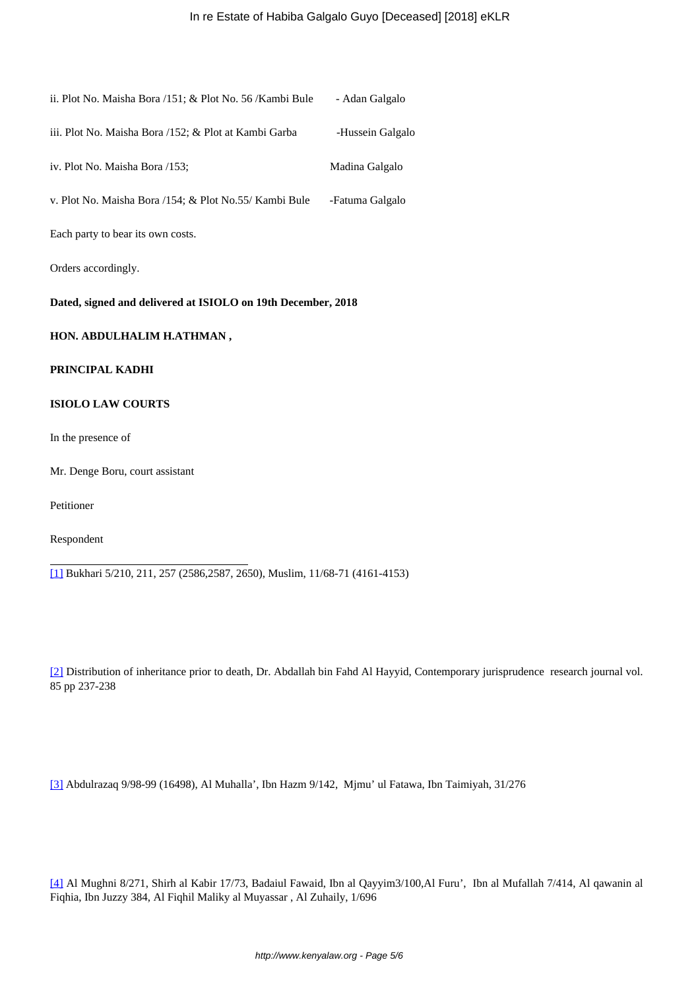| ii. Plot No. Maisha Bora /151; & Plot No. 56 / Kambi Bule                   | - Adan Galgalo   |  |  |  |
|-----------------------------------------------------------------------------|------------------|--|--|--|
| iii. Plot No. Maisha Bora /152; & Plot at Kambi Garba                       | -Hussein Galgalo |  |  |  |
| iv. Plot No. Maisha Bora /153;                                              | Madina Galgalo   |  |  |  |
| v. Plot No. Maisha Bora /154; & Plot No.55/ Kambi Bule                      | -Fatuma Galgalo  |  |  |  |
| Each party to bear its own costs.                                           |                  |  |  |  |
| Orders accordingly.                                                         |                  |  |  |  |
| Dated, signed and delivered at ISIOLO on 19th December, 2018                |                  |  |  |  |
| HON. ABDULHALIM H.ATHMAN,                                                   |                  |  |  |  |
| PRINCIPAL KADHI                                                             |                  |  |  |  |
| <b>ISIOLO LAW COURTS</b>                                                    |                  |  |  |  |
| In the presence of                                                          |                  |  |  |  |
| Mr. Denge Boru, court assistant                                             |                  |  |  |  |
| Petitioner                                                                  |                  |  |  |  |
| Respondent                                                                  |                  |  |  |  |
| [1] Bukhari 5/210, 211, 257 (2586,2587, 2650), Muslim, 11/68-71 (4161-4153) |                  |  |  |  |

[2] Distribution of inheritance prior to death, Dr. Abdallah bin Fahd Al Hayyid, Contemporary jurisprudence research journal vol. 85 pp 237-238

[3] Abdulrazaq 9/98-99 (16498), Al Muhalla', Ibn Hazm 9/142, Mjmu' ul Fatawa, Ibn Taimiyah, 31/276

[4] Al Mughni 8/271, Shirh al Kabir 17/73, Badaiul Fawaid, Ibn al Qayyim3/100,Al Furu', Ibn al Mufallah 7/414, Al qawanin al Fiqhia, Ibn Juzzy 384, Al Fiqhil Maliky al Muyassar , Al Zuhaily, 1/696